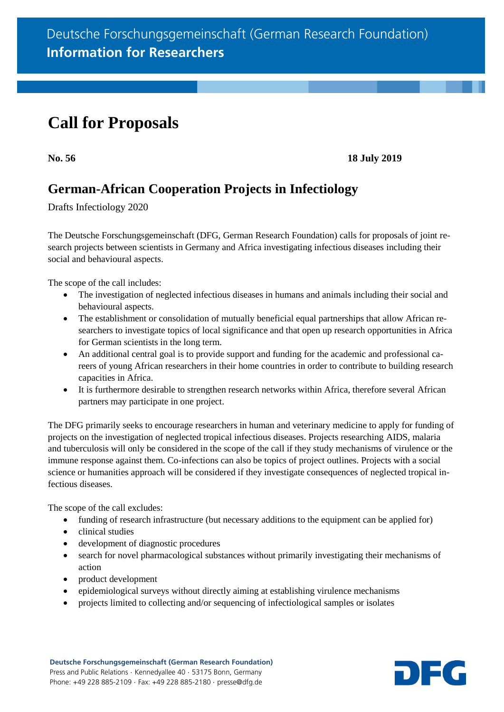# **Call for Proposals**

**No. 56 18 July 2019**

# **German-African Cooperation Projects in Infectiology**

Drafts Infectiology 2020

The Deutsche Forschungsgemeinschaft (DFG, German Research Foundation) calls for proposals of joint research projects between scientists in Germany and Africa investigating infectious diseases including their social and behavioural aspects.

The scope of the call includes:

- The investigation of neglected infectious diseases in humans and animals including their social and behavioural aspects.
- The establishment or consolidation of mutually beneficial equal partnerships that allow African researchers to investigate topics of local significance and that open up research opportunities in Africa for German scientists in the long term.
- An additional central goal is to provide support and funding for the academic and professional careers of young African researchers in their home countries in order to contribute to building research capacities in Africa.
- It is furthermore desirable to strengthen research networks within Africa, therefore several African partners may participate in one project.

The DFG primarily seeks to encourage researchers in human and veterinary medicine to apply for funding of projects on the investigation of neglected tropical infectious diseases. Projects researching AIDS, malaria and tuberculosis will only be considered in the scope of the call if they study mechanisms of virulence or the immune response against them. Co-infections can also be topics of project outlines. Projects with a social science or humanities approach will be considered if they investigate consequences of neglected tropical infectious diseases.

The scope of the call excludes:

- funding of research infrastructure (but necessary additions to the equipment can be applied for)
- clinical studies
- development of diagnostic procedures
- search for novel pharmacological substances without primarily investigating their mechanisms of action
- product development
- epidemiological surveys without directly aiming at establishing virulence mechanisms
- projects limited to collecting and/or sequencing of infectiological samples or isolates

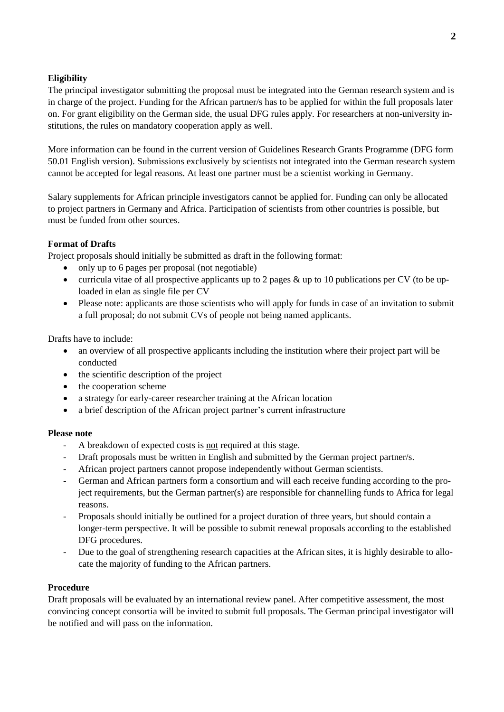## **Eligibility**

The principal investigator submitting the proposal must be integrated into the German research system and is in charge of the project. Funding for the African partner/s has to be applied for within the full proposals later on. For grant eligibility on the German side, the usual DFG rules apply. For researchers at non-university institutions, the rules on mandatory cooperation apply as well.

More information can be found in the current version of Guidelines Research Grants Programme [\(DFG form](http://www.dfg.de/formulare/50_01/50_01_en.pdf)  [50.01 English version\)](http://www.dfg.de/formulare/50_01/50_01_en.pdf). Submissions exclusively by scientists not integrated into the German research system cannot be accepted for legal reasons. At least one partner must be a scientist working in Germany.

Salary supplements for African principle investigators cannot be applied for. Funding can only be allocated to project partners in Germany and Africa. Participation of scientists from other countries is possible, but must be funded from other sources.

### **Format of Drafts**

Project proposals should initially be submitted as draft in the following format:

- only up to 6 pages per proposal (not negotiable)
- curricula vitae of all prospective applicants up to 2 pages & up to 10 publications per CV (to be uploaded in elan as single file per CV
- Please note: applicants are those scientists who will apply for funds in case of an invitation to submit a full proposal; do not submit CVs of people not being named applicants.

Drafts have to include:

- an overview of all prospective applicants including the institution where their project part will be conducted
- $\bullet$  the scientific description of the project
- the cooperation scheme
- a strategy for early-career researcher training at the African location
- a brief description of the African project partner's current infrastructure

#### **Please note**

- A breakdown of expected costs is not required at this stage.
- Draft proposals must be written in English and submitted by the German project partner/s.
- African project partners cannot propose independently without German scientists.
- German and African partners form a consortium and will each receive funding according to the project requirements, but the German partner(s) are responsible for channelling funds to Africa for legal reasons.
- Proposals should initially be outlined for a project duration of three years, but should contain a longer-term perspective. It will be possible to submit renewal proposals according to the established DFG procedures.
- Due to the goal of strengthening research capacities at the African sites, it is highly desirable to allocate the majority of funding to the African partners.

#### **Procedure**

Draft proposals will be evaluated by an international review panel. After competitive assessment, the most convincing concept consortia will be invited to submit full proposals. The German principal investigator will be notified and will pass on the information.